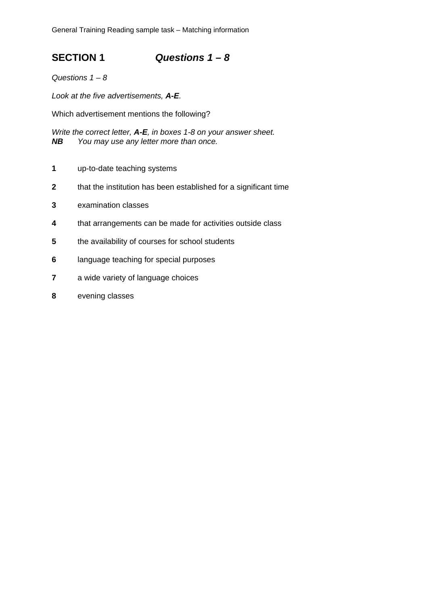General Training Reading sample task – Matching information

**SECTION 1** *Questions 1 – 8* 

*Questions 1 – 8* 

*Look at the five advertisements, A-E.* 

Which advertisement mentions the following?

*Write the correct letter, A-E, in boxes 1-8 on your answer sheet. NB You may use any letter more than once.* 

- **1** up-to-date teaching systems
- **2** that the institution has been established for a significant time
- **3** examination classes
- **4** that arrangements can be made for activities outside class
- **5** the availability of courses for school students
- **6** language teaching for special purposes
- **7** a wide variety of language choices
- **8** evening classes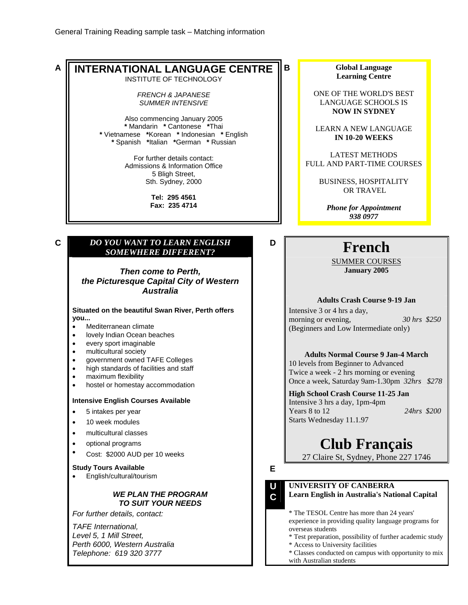• English/cultural/tourism

*For further details, contact:* 

*Perth 6000, Western Australia Telephone: 619 320 3777*

*TAFE International, Level 5, 1 Mill Street,* 

*WE PLAN THE PROGRAM TO SUIT YOUR NEEDS*

**A INTERNATIONAL LANGUAGE CENTRE** INSTITUTE OF TECHNOLOGY *FRENCH & JAPANESE SUMMER INTENSIVE*  Also commencing January 2005 **\*** Mandarin **\*** Cantonese **\***Thai **\*** Vietnamese **\***Korean **\*** Indonesian **\*** English **\*** Spanish **\***Italian **\***German **\*** Russian For further details contact: Admissions & Information Office 5 Bligh Street, Sth. Sydney, 2000 **Tel: 295 4561 Fax: 235 4714 B Global Language Learning Centre**  ONE OF THE WORLD'S BEST LANGUAGE SCHOOLS IS **NOW IN SYDNEY**  LEARN A NEW LANGUAGE **IN 10-20 WEEKS**  LATEST METHODS FULL AND PART-TIME COURSES BUSINESS, HOSPITALITY OR TRAVEL *Phone for Appointment 938 0977* **C** *DO YOU WANT TO LEARN ENGLISH SOMEWHERE DIFFERENT?*  **<sup>D</sup> French** *Then come to Perth, the Picturesque Capital City of Western Australia* SUMMER COURSES **January 2005 Adults Crash Course 9-19 Jan Situated on the beautiful Swan River, Perth offers you...** • Mediterranean climate • lovely Indian Ocean beaches • every sport imaginable • multicultural society • government owned TAFE Colleges • high standards of facilities and staff • maximum flexibility • hostel or homestay accommodation Intensive 3 or 4 hrs a day, morning or evening, *30 hrs \$250* (Beginners and Low Intermediate only) **Adults Normal Course 9 Jan-4 March** 10 levels from Beginner to Advanced Twice a week - 2 hrs morning or evening Once a week, Saturday 9am-1.30pm *32hrs \$278* **Intensive English Courses Available**  • 5 intakes per year • 10 week modules • multicultural classes • optional programs Cost: \$2000 AUD per 10 weeks **High School Crash Course 11-25 Jan** Intensive 3 hrs a day, 1pm-4pm Years 8 to 12 *24hrs \$200* Starts Wednesday 11.1.97 **Club Français** 27 Claire St, Sydney, Phone 227 1746 **Study Tours Available**

**E**

**E U C**  **UNIVERSITY OF CANBERRA** 

**Learn English in Australia's National Capital** 

\* The TESOL Centre has more than 24 years' experience in providing quality language programs for overseas students

- \* Test preparation, possibility of further academic study
- \* Access to University facilities
- \* Classes conducted on campus with opportunity to mix with Australian students